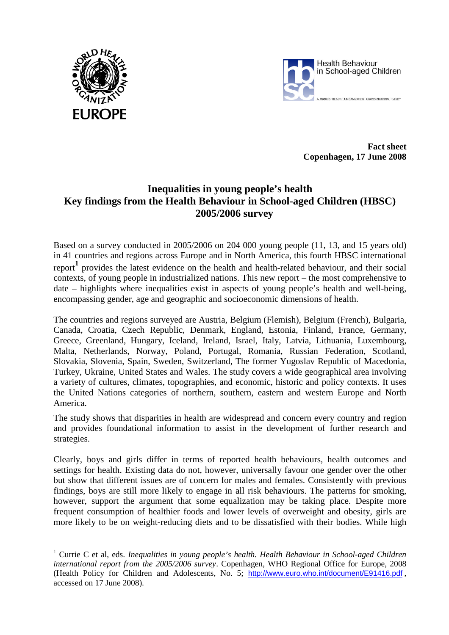



**Fact sheet Copenhagen, 17 June 2008**

## **Inequalities in young people's health Key findings from the Health Behaviour in School-aged Children (HBSC) 2005/2006 survey**

Based on a survey conducted in 2005/2006 on 204 000 young people (11, 13, and 15 years old) in 41 countries and regions across Europe and in North America, this fourth HBSC international report**[1](#page-0-0)** provides the latest evidence on the health and health-related behaviour, and their social contexts, of young people in industrialized nations. This new report – the most comprehensive to date – highlights where inequalities exist in aspects of young people's health and well-being, encompassing gender, age and geographic and socioeconomic dimensions of health.

The countries and regions surveyed are Austria, Belgium (Flemish), Belgium (French), Bulgaria, Canada, Croatia, Czech Republic, Denmark, England, Estonia, Finland, France, Germany, Greece, Greenland, Hungary, Iceland, Ireland, Israel, Italy, Latvia, Lithuania, Luxembourg, Malta, Netherlands, Norway, Poland, Portugal, Romania, Russian Federation, Scotland, Slovakia, Slovenia, Spain, Sweden, Switzerland, The former Yugoslav Republic of Macedonia, Turkey, Ukraine, United States and Wales. The study covers a wide geographical area involving a variety of cultures, climates, topographies, and economic, historic and policy contexts. It uses the United Nations categories of northern, southern, eastern and western Europe and North America.

The study shows that disparities in health are widespread and concern every country and region and provides foundational information to assist in the development of further research and strategies.

Clearly, boys and girls differ in terms of reported health behaviours, health outcomes and settings for health. Existing data do not, however, universally favour one gender over the other but show that different issues are of concern for males and females. Consistently with previous findings, boys are still more likely to engage in all risk behaviours. The patterns for smoking, however, support the argument that some equalization may be taking place. Despite more frequent consumption of healthier foods and lower levels of overweight and obesity, girls are more likely to be on weight-reducing diets and to be dissatisfied with their bodies. While high

<span id="page-0-0"></span><sup>1</sup> Currie C et al, eds. *Inequalities in young people's health. Health Behaviour in School-aged Children international report from the 2005/2006 survey*. Copenhagen, WHO Regional Office for Europe, 2008 (Health Policy for Children and Adolescents, No. 5; http://www.euro.who.int/document/E91416.pdf , accessed on 17 June 2008).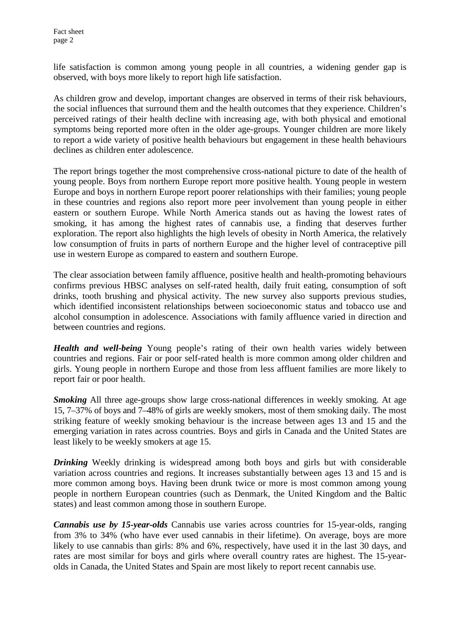life satisfaction is common among young people in all countries, a widening gender gap is observed, with boys more likely to report high life satisfaction.

As children grow and develop, important changes are observed in terms of their risk behaviours, the social influences that surround them and the health outcomes that they experience. Children's perceived ratings of their health decline with increasing age, with both physical and emotional symptoms being reported more often in the older age-groups. Younger children are more likely to report a wide variety of positive health behaviours but engagement in these health behaviours declines as children enter adolescence.

The report brings together the most comprehensive cross-national picture to date of the health of young people. Boys from northern Europe report more positive health. Young people in western Europe and boys in northern Europe report poorer relationships with their families; young people in these countries and regions also report more peer involvement than young people in either eastern or southern Europe. While North America stands out as having the lowest rates of smoking, it has among the highest rates of cannabis use, a finding that deserves further exploration. The report also highlights the high levels of obesity in North America, the relatively low consumption of fruits in parts of northern Europe and the higher level of contraceptive pill use in western Europe as compared to eastern and southern Europe.

The clear association between family affluence, positive health and health-promoting behaviours confirms previous HBSC analyses on self-rated health, daily fruit eating, consumption of soft drinks, tooth brushing and physical activity. The new survey also supports previous studies, which identified inconsistent relationships between socioeconomic status and tobacco use and alcohol consumption in adolescence. Associations with family affluence varied in direction and between countries and regions.

*Health and well-being* Young people's rating of their own health varies widely between countries and regions. Fair or poor self-rated health is more common among older children and girls. Young people in northern Europe and those from less affluent families are more likely to report fair or poor health.

*Smoking* All three age-groups show large cross-national differences in weekly smoking. At age 15, 7–37% of boys and 7–48% of girls are weekly smokers, most of them smoking daily. The most striking feature of weekly smoking behaviour is the increase between ages 13 and 15 and the emerging variation in rates across countries. Boys and girls in Canada and the United States are least likely to be weekly smokers at age 15.

*Drinking* Weekly drinking is widespread among both boys and girls but with considerable variation across countries and regions. It increases substantially between ages 13 and 15 and is more common among boys. Having been drunk twice or more is most common among young people in northern European countries (such as Denmark, the United Kingdom and the Baltic states) and least common among those in southern Europe.

*Cannabis use by 15-year-olds* Cannabis use varies across countries for 15-year-olds, ranging from 3% to 34% (who have ever used cannabis in their lifetime). On average, boys are more likely to use cannabis than girls: 8% and 6%, respectively, have used it in the last 30 days, and rates are most similar for boys and girls where overall country rates are highest. The 15-yearolds in Canada, the United States and Spain are most likely to report recent cannabis use.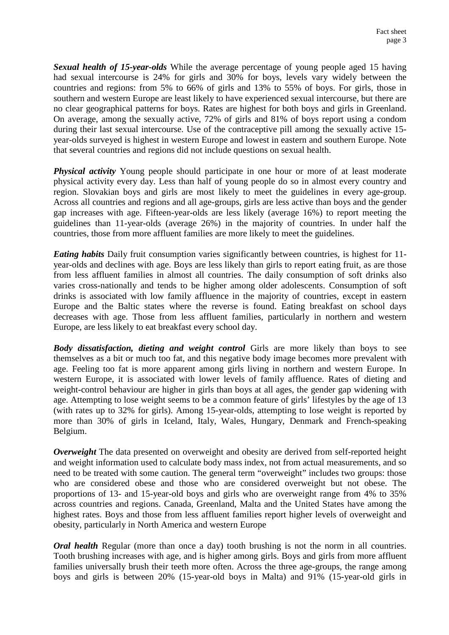*Sexual health of 15-year-olds* While the average percentage of young people aged 15 having had sexual intercourse is 24% for girls and 30% for boys, levels vary widely between the countries and regions: from 5% to 66% of girls and 13% to 55% of boys. For girls, those in southern and western Europe are least likely to have experienced sexual intercourse, but there are no clear geographical patterns for boys. Rates are highest for both boys and girls in Greenland. On average, among the sexually active, 72% of girls and 81% of boys report using a condom during their last sexual intercourse. Use of the contraceptive pill among the sexually active 15 year-olds surveyed is highest in western Europe and lowest in eastern and southern Europe. Note that several countries and regions did not include questions on sexual health.

*Physical activity* Young people should participate in one hour or more of at least moderate physical activity every day. Less than half of young people do so in almost every country and region. Slovakian boys and girls are most likely to meet the guidelines in every age-group. Across all countries and regions and all age-groups, girls are less active than boys and the gender gap increases with age. Fifteen-year-olds are less likely (average 16%) to report meeting the guidelines than 11-year-olds (average 26%) in the majority of countries. In under half the countries, those from more affluent families are more likely to meet the guidelines.

*Eating habits* Daily fruit consumption varies significantly between countries, is highest for 11 year-olds and declines with age. Boys are less likely than girls to report eating fruit, as are those from less affluent families in almost all countries. The daily consumption of soft drinks also varies cross-nationally and tends to be higher among older adolescents. Consumption of soft drinks is associated with low family affluence in the majority of countries, except in eastern Europe and the Baltic states where the reverse is found. Eating breakfast on school days decreases with age. Those from less affluent families, particularly in northern and western Europe, are less likely to eat breakfast every school day.

*Body dissatisfaction, dieting and weight control* Girls are more likely than boys to see themselves as a bit or much too fat, and this negative body image becomes more prevalent with age. Feeling too fat is more apparent among girls living in northern and western Europe. In western Europe, it is associated with lower levels of family affluence. Rates of dieting and weight-control behaviour are higher in girls than boys at all ages, the gender gap widening with age. Attempting to lose weight seems to be a common feature of girls' lifestyles by the age of 13 (with rates up to 32% for girls). Among 15-year-olds, attempting to lose weight is reported by more than 30% of girls in Iceland, Italy, Wales, Hungary, Denmark and French-speaking Belgium.

*Overweight* The data presented on overweight and obesity are derived from self-reported height and weight information used to calculate body mass index, not from actual measurements, and so need to be treated with some caution. The general term "overweight" includes two groups: those who are considered obese and those who are considered overweight but not obese. The proportions of 13- and 15-year-old boys and girls who are overweight range from 4% to 35% across countries and regions. Canada, Greenland, Malta and the United States have among the highest rates. Boys and those from less affluent families report higher levels of overweight and obesity, particularly in North America and western Europe

*Oral health* Regular (more than once a day) tooth brushing is not the norm in all countries. Tooth brushing increases with age, and is higher among girls. Boys and girls from more affluent families universally brush their teeth more often. Across the three age-groups, the range among boys and girls is between 20% (15-year-old boys in Malta) and 91% (15-year-old girls in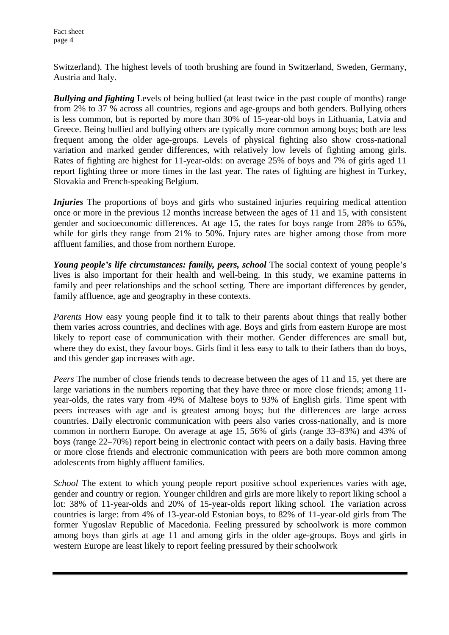Switzerland). The highest levels of tooth brushing are found in Switzerland, Sweden, Germany, Austria and Italy.

*Bullying and fighting* Levels of being bullied (at least twice in the past couple of months) range from 2% to 37 % across all countries, regions and age-groups and both genders. Bullying others is less common, but is reported by more than 30% of 15-year-old boys in Lithuania, Latvia and Greece. Being bullied and bullying others are typically more common among boys; both are less frequent among the older age-groups. Levels of physical fighting also show cross-national variation and marked gender differences, with relatively low levels of fighting among girls. Rates of fighting are highest for 11-year-olds: on average 25% of boys and 7% of girls aged 11 report fighting three or more times in the last year. The rates of fighting are highest in Turkey, Slovakia and French-speaking Belgium.

*Injuries* The proportions of boys and girls who sustained injuries requiring medical attention once or more in the previous 12 months increase between the ages of 11 and 15, with consistent gender and socioeconomic differences. At age 15, the rates for boys range from 28% to 65%, while for girls they range from 21% to 50%. Injury rates are higher among those from more affluent families, and those from northern Europe.

*Young people's life circumstances: family, peers, school* The social context of young people's lives is also important for their health and well-being. In this study, we examine patterns in family and peer relationships and the school setting. There are important differences by gender, family affluence, age and geography in these contexts.

*Parents* How easy young people find it to talk to their parents about things that really bother them varies across countries, and declines with age. Boys and girls from eastern Europe are most likely to report ease of communication with their mother. Gender differences are small but, where they do exist, they favour boys. Girls find it less easy to talk to their fathers than do boys, and this gender gap increases with age.

*Peers* The number of close friends tends to decrease between the ages of 11 and 15, yet there are large variations in the numbers reporting that they have three or more close friends; among 11 year-olds, the rates vary from 49% of Maltese boys to 93% of English girls. Time spent with peers increases with age and is greatest among boys; but the differences are large across countries. Daily electronic communication with peers also varies cross-nationally, and is more common in northern Europe. On average at age 15, 56% of girls (range 33–83%) and 43% of boys (range 22–70%) report being in electronic contact with peers on a daily basis. Having three or more close friends and electronic communication with peers are both more common among adolescents from highly affluent families.

*School* The extent to which young people report positive school experiences varies with age, gender and country or region. Younger children and girls are more likely to report liking school a lot: 38% of 11-year-olds and 20% of 15-year-olds report liking school. The variation across countries is large: from 4% of 13-year-old Estonian boys, to 82% of 11-year-old girls from The former Yugoslav Republic of Macedonia. Feeling pressured by schoolwork is more common among boys than girls at age 11 and among girls in the older age-groups. Boys and girls in western Europe are least likely to report feeling pressured by their schoolwork